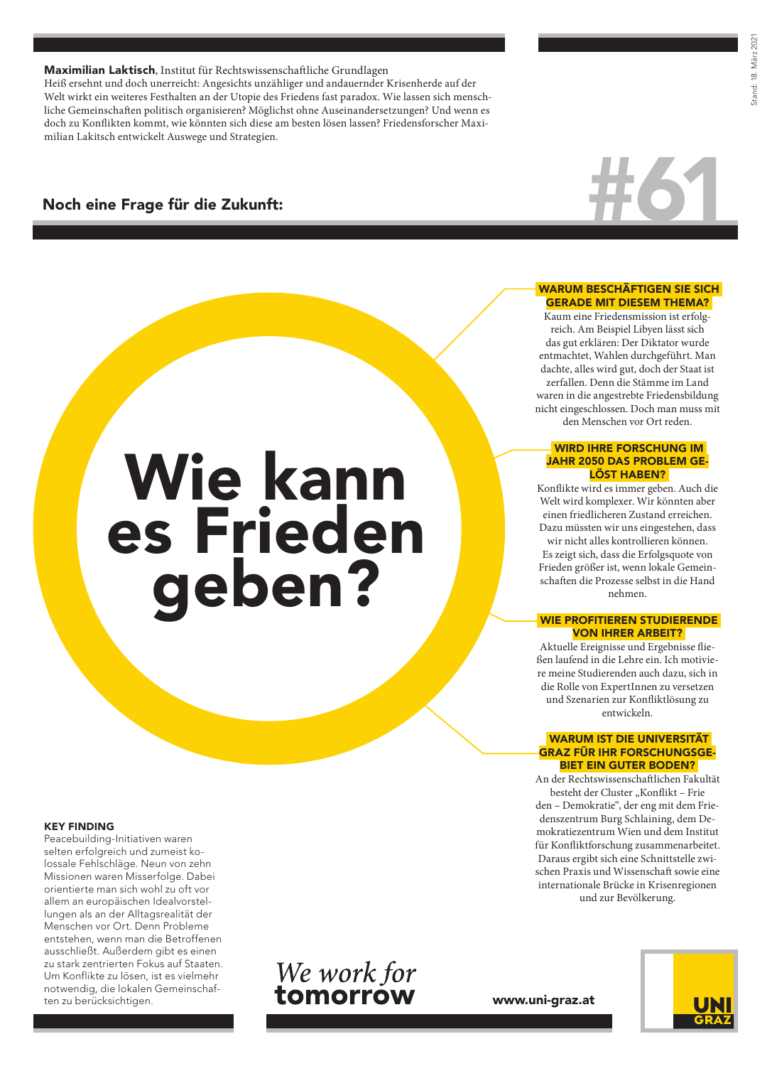## Maximilian Laktisch, Institut für Rechtswissenschaftliche Grundlagen

Heiß ersehnt und doch unerreicht: Angesichts unzähliger und andauernder Krisenherde auf der Welt wirkt ein weiteres Festhalten an der Utopie des Friedens fast paradox. Wie lassen sich menschliche Gemeinschaften politisch organisieren? Möglichst ohne Auseinandersetzungen? Und wenn es doch zu Konflikten kommt, wie könnten sich diese am besten lösen lassen? Friedensforscher Maximilian Lakitsch entwickelt Auswege und Strategien.

Wie kann

es Frieden

geben?

# Noch eine Frage für die Zukunft:



#### WARUM BESCHÄFTIGEN SIE SICH GERADE MIT DIESEM THEMA?

Kaum eine Friedensmission ist erfolgreich. Am Beispiel Libyen lässt sich das gut erklären: Der Diktator wurde entmachtet, Wahlen durchgeführt. Man dachte, alles wird gut, doch der Staat ist zerfallen. Denn die Stämme im Land waren in die angestrebte Friedensbildung nicht eingeschlossen. Doch man muss mit den Menschen vor Ort reden.

#### WIRD IHRE FORSCHUNG IM JAHR 2050 DAS PROBLEM GE-LÖST HABEN?

Konflikte wird es immer geben. Auch die Welt wird komplexer. Wir könnten aber einen friedlicheren Zustand erreichen. Dazu müssten wir uns eingestehen, dass wir nicht alles kontrollieren können. Es zeigt sich, dass die Erfolgsquote von Frieden größer ist, wenn lokale Gemeinschaften die Prozesse selbst in die Hand nehmen.

## WIE PROFITIEREN STUDIERENDE VON IHRER ARBEIT?

Aktuelle Ereignisse und Ergebnisse fließen laufend in die Lehre ein. Ich motiviere meine Studierenden auch dazu, sich in die Rolle von ExpertInnen zu versetzen und Szenarien zur Konfliktlösung zu entwickeln.

#### WARUM IST DIE UNIVERSITÄT GRAZ FÜR IHR FORSCHUNGSGE-BIET EIN GUTER BODEN?

An der Rechtswissenschaftlichen Fakultät besteht der Cluster "Konflikt - Frie den – Demokratie", der eng mit dem Friedenszentrum Burg Schlaining, dem Demokratiezentrum Wien und dem Institut für Konfliktforschung zusammenarbeitet. Daraus ergibt sich eine Schnittstelle zwischen Praxis und Wissenschaft sowie eine internationale Brücke in Krisenregionen und zur Bevölkerung.

#### KEY FINDING

Peacebuilding-Initiativen waren selten erfolgreich und zumeist kolossale Fehlschläge. Neun von zehn Missionen waren Misserfolge. Dabei orientierte man sich wohl zu oft vor allem an europäischen Idealvorstellungen als an der Alltagsrealität der Menschen vor Ort. Denn Probleme entstehen, wenn man die Betroffenen ausschließt. Außerdem gibt es einen zu stark zentrierten Fokus auf Staaten. Um Konflikte zu lösen, ist es vielmehr notwendig, die lokalen Gemeinschaften zu berücksichtigen.



www.uni-graz.at